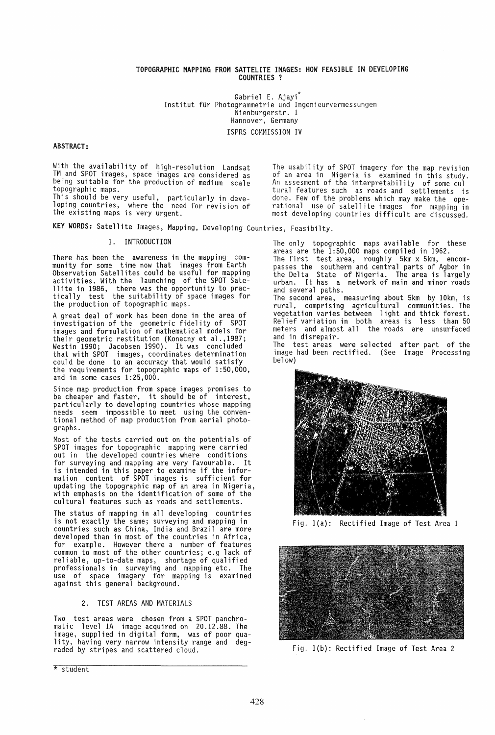### TOPOGRAPHIC MAPPING fROM SATTELITE IMAGES: HOW fEASIBLE IN DEVELOPING COUNTRIES ?

Gabriel E. Ajayi\* Institut für Photogrammetrie und Ingenieurvermessungen Nienburgerstr. 1 Hannover, Germany ISPRS COMMISSION IV

# ABSTRACT:

With the availability of high-resolution Landsat TM and SPOT images, space images are considered as being suitable for the production of medium scale topographic maps.

This should be very useful, particularly in developing countries, where the need for revision of loping countries, where the nee<br>the existing maps is very urgent.

KEY WORDS: Satellite Images, Mapping, Developing Countries, Feasibilty.

# 1. INTRODUCTION

There has been the awareness in the mapping community for some time now that images from Earth Observation Satellites could be useful for mapping activities. With the launching of the SPOT Sateactivities. With the launching of the SPOT Sate-<br>llite in 1986, there was the opportunity to prac-<br>tically test the suitability of space images for the production of topographic maps.

A great deal of work has been done in the area of investigation of the geometric fidelity of SPOT images and formulation of mathematical models for their geometric restitution (Konecny et al.,1987; Westin 1990; Jacobsen 1990). It was concluded that with SPOT images, coordinates determination could be done to an accuracy that would satisfy<br>the requirements for topographic maps of 1:50,000, the requirements for topographic maps of  $1:50,000$ , and in some cases  $1:25,000$ .

Since map production from space images promises to be cheaper and faster, it should be of interest, particularly to developing countries whose mapping<br>needs seem impossible to meet using the conventional method of map production from aerial photographs.

Most of the tests carried out on the potentials of SPOT images for topographic mapping were carried out in the developed countries where conditions for surveying and mapping are very favourable. It is intended in this paper to examine if the information content of SPOT images is sufficient for updating the topographic map of an area in Nigeria, with emphasis on the identification of some of the cultural features such as roads and settlements.

The status of mapping in all developing countries is not exactly the same; surveying and mapping in countries such as China, India and Brazil are more developed than in most of the countries in Africa, for example. However there a number of features common to most of the other countries; e.g lack of reliable, up-to-date maps, shortage of qualified professionals in surveying and mapping etc. The use of space imagery for mapping is examined against this general background.

### 2. TEST AREAS AND MATERIALS

Two test areas were chosen from a SPOT panchro- matic level 1A image acquired on 20.12.88. The lity, having very narrow intensity range and degraded by stripes and scattered cloud.

\* student

The usability of SPOT imagery for the map revision<br>of an area in Nigeria is examined in this study. An assesment of the interpretability of some cultural features such as roads and settlements is done. Few of the problems which may make the ope-rational use of satellite images for mapping in most developing countries difficult are discussed.

The only topographic maps available for these areas are the 1:50,000 maps compiled in 1962. The first test area, roughly 5km x 5km, encom-

passes the southern and central parts of Agbor in the Delta State of Nigeria. The area is largely urban. It has a network of main and minor roads and several paths.

The second area, measuring about 5km by 10km, is rural, comprising agricultural communities. The vegetation varies between light and thick forest. Relief variation in both areas is less than 50 meters and almost all the roads are unsurfaced<br>and in disrepair. and in disrepair.<br>The test areas were selected after part of the

image had been rectified. (See Image<sup>'</sup> Processing<br>below)



Fig. l(a): Rectified Image of Test Area 1



Fig. l(b): Rectified Image of Test Area 2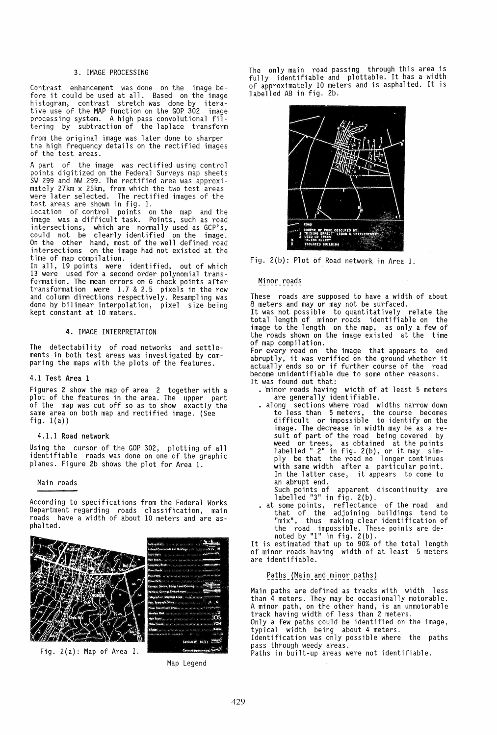# 3. IMAGE PROCESSING

Contrast enhancement was done on the image before it could be used at all. Based on the image histogram, contrast stretch was done by iterative use of the MAP function on the GOP 302 image<br>processing system. A high pass convolutional filtering by subtraction of the laplace transform

from the original image was later done to sharpen the high frequency details on the rectified images of the test areas.

A part of the image was rectified using control points digitized on the Federal Surveys map sheets SW 299 and NW 299. The rectified area was approxi- mately 27km x 25km, from which the two test areas mately 27km x 25km, from which the two test areas<br>were later selected. The rectified images of the test areas are shown in fig. 1.

Location of control points on the map and the image was a difficult task. Points, such as road intersections, which are normally used as GCP's, could not be clearly identified on the image.<br>On the other hand, most of the well defined road intersections on the image had not existed at the time of map compilation.

In all, 19 points were identified, out of which 13 were used for a second order polynomial transformation. The mean errors on 6 check points after transformation were 1.7 & 2.5 pixels in the row and column directions respectively. Resampling was done by bilinear interpolation, pixel size being<br>kept constant at 10 meters.

#### 4. IMAGE INTERPRETATION

The detectability of road networks and settlements in both test areas was investigated by comparing the maps with the plots of the features.

#### 4.1 Test Area 1

Figures 2 show the map of area 2 together with a plot of the features in the area. The upper part<br>of the map was cut off so as to show exactly the same area on both map and rectified image. (See fig.  $1(a)$ )

#### 4.1.1 Road network

Using the cursor of the GOP 302, plotting of all identifiable roads was done on one of the graphic planes. Figure 2b shows the plot for Area 1.

#### Main roads

According to specifications from the Federal Works Department regarding roads classification, main roads have a width of about 10 meters and are asphalted.



Fig. 2(a): Map of Area 1.

Map Legend

The only main road passing through this area is fully identifiable and plottable. It has a width of approximately 10 meters and 1S asphalted. It 1S labelled AB in fig. 2b.



Fig. 2(b): Plot of Road network in Area 1.

# Minor roads

These roads are supposed to have a width of about 8 meters and may or may not be surfaced.<br>It was not possible to quantitatively relate the total length of minor roads identifiable on the image to the length on the map, as only a few of the roads shown on the image existed at the time

of map compilation. For every road on the image that appears to end abruptly, it was verified on the ground whether it actually ends so or if further course of the road become unidentifiable due to some other reasons. It was found out that:

- minor roads having width of at least 5 meters are generally identifiable.
- along sections where road widths narrow down to less than 5 meters, the course becomes difficult or impossible to identify on the image. The decrease in width may be as a re-<br>sult of part of the road being covered by sult of part of the road being covered by weed or trees, as obtained at the points<br>labelled " 2" in fig. 2(b), or it may simply be that the road no longer continues with same width after a particular point. In the latter case, it appears to come to an abrupt end.

Such points of apparent discontinuity are labelled "3" in fig. 2(b).

• at some points, reflectance of the road and that of the adjoining buildings tend to "mix", thus making clear identification of the road impossible. These points are denoted by "1" in fig. 2(b).

It is estimated that up to 90% of the total length of minor roads having width of at least 5 meters are identifiable.

# Paths (Main and minor paths)

Main paths are defined as tracks with width less than 4 meters. They may be occasionally motorable. A minor path, on the other hand, is an unmotorable track having width of less than 2 meters.

Only a few paths could be identified on the image, typical width being about 4 meters.

Identification was only possible where the paths pass through weedy areas.

Paths in built-up areas were not identifiable.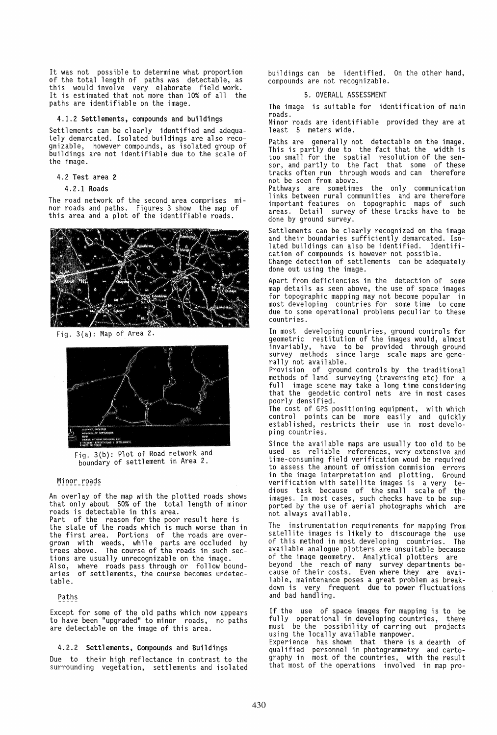It was not possible to determine what proportion of the total length of paths was detectable, as this would involve very elaborate field work. It is estimated that not more than 10% of all the paths are identifiable on the image.

### 4.1.2 Settlements, compounds and buildings

Settlements can be clearly identified and adequately demarcated. Isolated buildings are also recognizable, however compounds, as isolated group of buildings are not identifiable due to the scale of the image.

# 4.2 Test area 2

#### 4.2.1 Roads

The road network of the second area comprises minor roads and paths. Figures 3 show the map of this area and a plot of the identifiable roads.



Fig. 3(a): Map of Area 2.



Fig. 3(b): Plot of Road network and boundary of settlement in Area 2.

# Minor roads

An overlay of the map with the plotted roads shows that only about 50% of the total length of minor roads is detectable in this area.

Part of the reason for the poor result here is the state of the roads which is much worse than in the first area. Portions of the roads are overgrown with weeds, while parts are occluded by trees above. The course of the roads in such sections are usually unrecognizable on the image. Also, where roads pass through or follow boundaries of settlements, the course becomes undetectable.

# Paths

Except for some of the old paths which now appears to have been "upgraded" to minor roads, no paths are detectable on the image of this area.

#### 4.2.2 Settlements, Compounds and Buildings

Due to their high reflectance in contrast to the surrounding vegetation, settlements and isolated buildings can be identified. On the other hand, compounds are not recognizable.

# 5. OVERALL ASSESSMENT

The image is suitable for identification of main roads.

Minor roads are identifiable provided they are at least 5 meters wide.

Paths are generally not detectable on the image. This is partly due to the fact that the width is too small for the spatial resolution of the sensor, and partly to the fact that some of these tracks often run through woods and can therefore not be seen from above.

Pathways are sometimes the only communication links between rural communities and are therefore important features on topographic maps of such areas. Detail survey of these tracks have to be done by ground survey.

Settlements can be clearly recognized on the image<br>and their boundaries sufficiently demarcated. Iso-<br>lated buildings can also be identified. Identifiand their boundaries surriciently demailed<br>lated buildings can also be identified. Ide<br>cation of compounds is however not possible.

Change detection of settlements can be adequately done out using the image.

Apart from deficiencies in the detection of some map details as seen above, the use of space images for topographic mapping may not become popular in most developing countries for some time to come due to some operational problems peculiar to these countries.

In most developing countries, ground controls for geometric restitution of the images would, almost invariably, have to be provided through ground survey methods since large scale maps are gene-<br>rally not available.

Provision of ground controls by the traditional methods of land surveying (traversing etc) for a full image scene may take a long time considering that the geodetic control nets are in most cases poorly densified.

The cost of GPS positioning equipment, with which control points can be more easily and quickly established, restricts their use in most developing countries.

Since the available maps are usually too old to be used as reliable references, very extensive and time-consuming field verification woud be required to assess the amount of omission commision errors in the image interpretation and plotting. Ground verification with satellite images is a very te-<br>dious task because of the small scale of the dious task because of the small scale of the images. In most cases, such checks have to be sup-<br>ported by the use of aerial photographs which are ported by the use of aerial photographs which are<br>not always available.

The instrumentation requirements for mapping from satellite images is likely to discourage the use<br>of this method in most developing countries. The of this method in most developing countries. available analogue plotters are unsuitable because of the image geometry. Analytical plotters are beyond the reach of many survey departments because of their costs. Even where they are available, maintenance poses a great problem as breakdown is very frequent due to power fluctuations and bad handling.

If the use of space images for mapping is to be fully operational in developing countries, there must be the possibility of carring out projects using the locally available manpower.

Experience has shown that there is a dearth of qualified personnel in photogrammetry and cartography in most of the countries, with the result that most of the operations involved in map pro